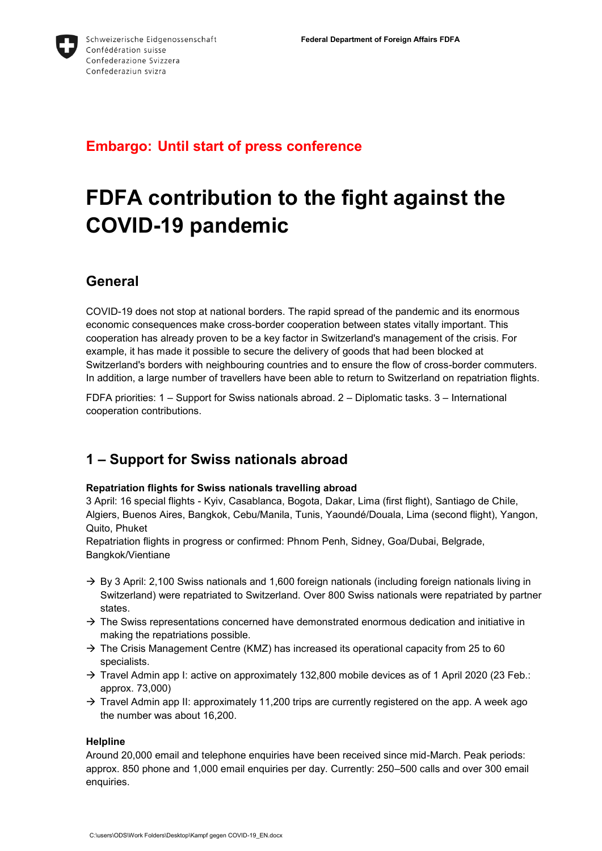

## **Embargo: Until start of press conference**

# **FDFA contribution to the fight against the COVID-19 pandemic**

## **General**

COVID-19 does not stop at national borders. The rapid spread of the pandemic and its enormous economic consequences make cross-border cooperation between states vitally important. This cooperation has already proven to be a key factor in Switzerland's management of the crisis. For example, it has made it possible to secure the delivery of goods that had been blocked at Switzerland's borders with neighbouring countries and to ensure the flow of cross-border commuters. In addition, a large number of travellers have been able to return to Switzerland on repatriation flights.

FDFA priorities: 1 – Support for Swiss nationals abroad. 2 – Diplomatic tasks. 3 – International cooperation contributions.

## **1 – Support for Swiss nationals abroad**

#### **Repatriation flights for Swiss nationals travelling abroad**

3 April: 16 special flights - Kyiv, Casablanca, Bogota, Dakar, Lima (first flight), Santiago de Chile, Algiers, Buenos Aires, Bangkok, Cebu/Manila, Tunis, Yaoundé/Douala, Lima (second flight), Yangon, Quito, Phuket

Repatriation flights in progress or confirmed: Phnom Penh, Sidney, Goa/Dubai, Belgrade, Bangkok/Vientiane

- $\rightarrow$  By 3 April: 2,100 Swiss nationals and 1,600 foreign nationals (including foreign nationals living in Switzerland) were repatriated to Switzerland. Over 800 Swiss nationals were repatriated by partner states.
- $\rightarrow$  The Swiss representations concerned have demonstrated enormous dedication and initiative in making the repatriations possible.
- $\rightarrow$  The Crisis Management Centre (KMZ) has increased its operational capacity from 25 to 60 specialists.
- $\rightarrow$  Travel Admin app I: active on approximately 132,800 mobile devices as of 1 April 2020 (23 Feb.: approx. 73,000)
- $\rightarrow$  Travel Admin app II: approximately 11,200 trips are currently registered on the app. A week ago the number was about 16,200.

#### **Helpline**

Around 20,000 email and telephone enquiries have been received since mid-March. Peak periods: approx. 850 phone and 1,000 email enquiries per day. Currently: 250–500 calls and over 300 email enquiries.